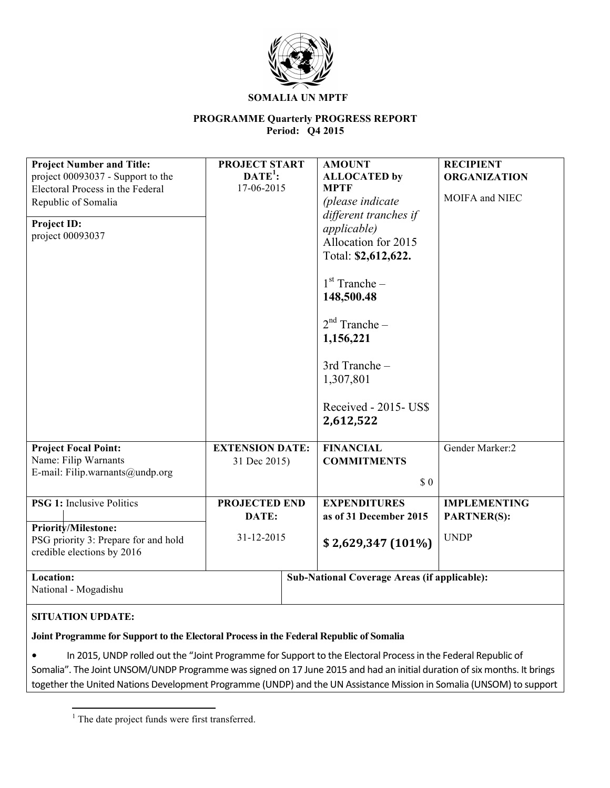

#### **SOMALIA UN MPTF**

### **PROGRAMME Quarterly PROGRESS REPORT Period: Q4 2015**

| <b>Project Number and Title:</b><br>project 00093037 - Support to the<br>Electoral Process in the Federal<br>Republic of Somalia<br>Project ID:<br>project 00093037 | PROJECT START<br>$\mathbf{DATE}^1$ :<br>17-06-2015 | <b>AMOUNT</b><br><b>MPTF</b><br><i>applicable</i> )<br>148,500.48<br>1,156,221<br>1,307,801<br>2,612,522 | <b>ALLOCATED</b> by<br>(please indicate<br>different tranches if<br>Allocation for 2015<br>Total: \$2,612,622.<br>$1st$ Tranche –<br>$2nd$ Tranche –<br>3rd Tranche-<br>Received - 2015- US\$ | <b>RECIPIENT</b><br><b>ORGANIZATION</b><br>MOIFA and NIEC |
|---------------------------------------------------------------------------------------------------------------------------------------------------------------------|----------------------------------------------------|----------------------------------------------------------------------------------------------------------|-----------------------------------------------------------------------------------------------------------------------------------------------------------------------------------------------|-----------------------------------------------------------|
| <b>Project Focal Point:</b><br>Name: Filip Warnants<br>E-mail: Filip.warnants@undp.org                                                                              | <b>EXTENSION DATE:</b><br>31 Dec 2015)             |                                                                                                          | <b>FINANCIAL</b><br><b>COMMITMENTS</b><br>$\sqrt{3}0$                                                                                                                                         | Gender Marker:2                                           |
| <b>PSG 1: Inclusive Politics</b><br><b>Priority/Milestone:</b><br>PSG priority 3: Prepare for and hold<br>credible elections by 2016<br>Location:                   | <b>PROJECTED END</b><br>DATE:<br>31-12-2015        |                                                                                                          | <b>EXPENDITURES</b><br>as of 31 December 2015<br>$$2,629,347(101\%)$<br><b>Sub-National Coverage Areas (if applicable):</b>                                                                   | <b>IMPLEMENTING</b><br><b>PARTNER(S):</b><br><b>UNDP</b>  |
| National - Mogadishu                                                                                                                                                |                                                    |                                                                                                          |                                                                                                                                                                                               |                                                           |

### **SITUATION UPDATE:**

**Joint Programme for Support to the Electoral Process in the Federal Republic of Somalia**

• In 2015, UNDP rolled out the "Joint Programme for Support to the Electoral Process in the Federal Republic of Somalia". The Joint UNSOM/UNDP Programme was signed on 17 June 2015 and had an initial duration of six months. It brings together the United Nations Development Programme (UNDP) and the UN Assistance Mission in Somalia (UNSOM) to support

<u> 1989 - Johann Stein, fransk politiker (d. 1989)</u>

<sup>&</sup>lt;sup>1</sup> The date project funds were first transferred.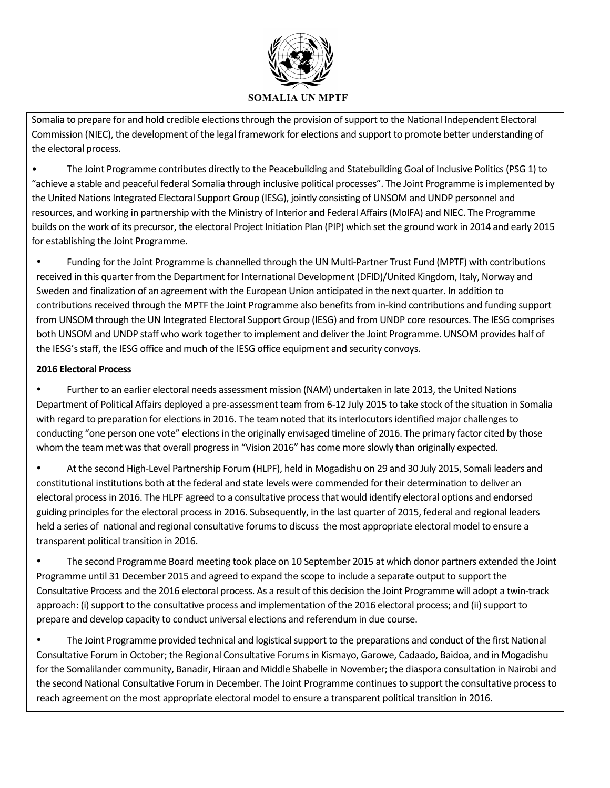

Somalia to prepare for and hold credible elections through the provision of support to the National Independent Electoral Commission (NIEC), the development of the legal framework for elections and support to promote better understanding of the electoral process.

• The Joint Programme contributes directly to the Peacebuilding and Statebuilding Goal of Inclusive Politics (PSG 1) to "achieve a stable and peaceful federal Somalia through inclusive political processes". The Joint Programme is implemented by the United Nations Integrated Electoral Support Group (IESG), jointly consisting of UNSOM and UNDP personnel and resources, and working in partnership with the Ministry of Interior and Federal Affairs (MoIFA) and NIEC. The Programme builds on the work of its precursor, the electoral Project Initiation Plan (PIP) which set the ground work in 2014 and early 2015 for establishing the Joint Programme.

• Funding for the Joint Programme is channelled through the UN Multi-Partner Trust Fund (MPTF) with contributions received in this quarter from the Department for International Development (DFID)/United Kingdom, Italy, Norway and Sweden and finalization of an agreement with the European Union anticipated in the next quarter. In addition to contributions received through the MPTF the Joint Programme also benefits from in-kind contributions and funding support from UNSOM through the UN Integrated Electoral Support Group (IESG) and from UNDP core resources. The IESG comprises both UNSOM and UNDP staff who work together to implement and deliver the Joint Programme. UNSOM provides half of the IESG's staff, the IESG office and much of the IESG office equipment and security convoys.

## **2016 Electoral Process**

• Further to an earlier electoral needs assessment mission (NAM) undertaken in late 2013, the United Nations Department of Political Affairs deployed a pre-assessment team from 6-12 July 2015 to take stock of the situation in Somalia with regard to preparation for elections in 2016. The team noted that its interlocutors identified major challenges to conducting "one person one vote" elections in the originally envisaged timeline of 2016. The primary factor cited by those whom the team met was that overall progress in "Vision 2016" has come more slowly than originally expected.

• At the second High-Level Partnership Forum (HLPF), held in Mogadishu on 29 and 30 July 2015, Somali leaders and constitutional institutions both at the federal and state levels were commended for their determination to deliver an electoral process in 2016. The HLPF agreed to a consultative process that would identify electoral options and endorsed guiding principles for the electoral process in 2016. Subsequently, in the last quarter of 2015, federal and regional leaders held a series of national and regional consultative forums to discuss the most appropriate electoral model to ensure a transparent political transition in 2016.

The second Programme Board meeting took place on 10 September 2015 at which donor partners extended the Joint Programme until 31 December 2015 and agreed to expand the scope to include a separate output to support the Consultative Process and the 2016 electoral process. As a result of this decision the Joint Programme will adopt a twin-track approach: (i) support to the consultative process and implementation of the 2016 electoral process; and (ii) support to prepare and develop capacity to conduct universal elections and referendum in due course.

The Joint Programme provided technical and logistical support to the preparations and conduct of the first National Consultative Forum in October; the Regional Consultative Forums in Kismayo, Garowe, Cadaado, Baidoa, and in Mogadishu for the Somalilander community, Banadir, Hiraan and Middle Shabelle in November; the diaspora consultation in Nairobi and the second National Consultative Forum in December. The Joint Programme continues to support the consultative process to reach agreement on the most appropriate electoral model to ensure a transparent political transition in 2016.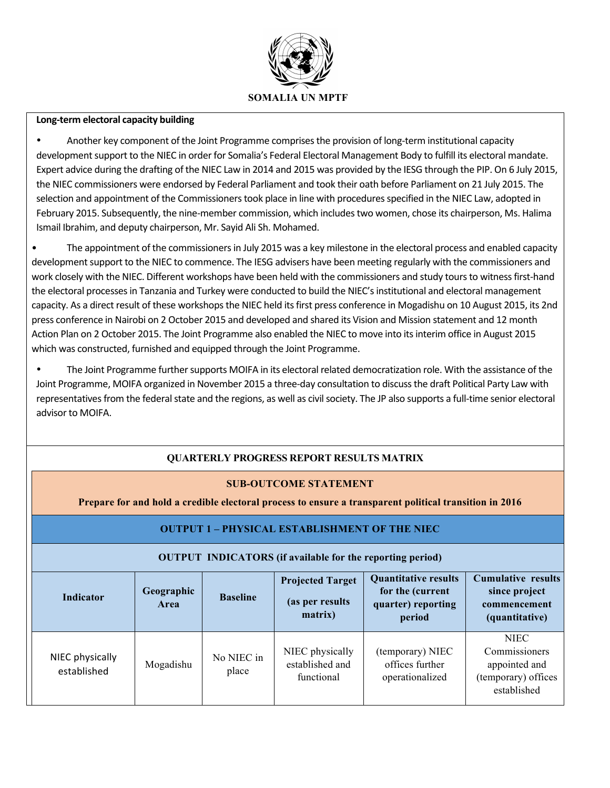

#### **Long-term electoral capacity building**

Another key component of the Joint Programme comprises the provision of long-term institutional capacity development support to the NIEC in order for Somalia's Federal Electoral Management Body to fulfill its electoral mandate. Expert advice during the drafting of the NIEC Law in 2014 and 2015 was provided by the IESG through the PIP. On 6 July 2015, the NIEC commissioners were endorsed by Federal Parliament and took their oath before Parliament on 21 July 2015. The selection and appointment of the Commissioners took place in line with procedures specified in the NIEC Law, adopted in February 2015. Subsequently, the nine-member commission, which includes two women, chose its chairperson, Ms. Halima Ismail Ibrahim, and deputy chairperson, Mr. Sayid Ali Sh. Mohamed.

The appointment of the commissioners in July 2015 was a key milestone in the electoral process and enabled capacity development support to the NIEC to commence. The IESG advisers have been meeting regularly with the commissioners and work closely with the NIEC. Different workshops have been held with the commissioners and study tours to witness first-hand the electoral processes in Tanzania and Turkey were conducted to build the NIEC's institutional and electoral management capacity. As a direct result of these workshops the NIEC held its first press conference in Mogadishu on 10 August 2015, its 2nd press conference in Nairobi on 2 October 2015 and developed and shared its Vision and Mission statement and 12 month Action Plan on 2 October 2015. The Joint Programme also enabled the NIEC to move into its interim office in August 2015 which was constructed, furnished and equipped through the Joint Programme.

The Joint Programme further supports MOIFA in its electoral related democratization role. With the assistance of the Joint Programme, MOIFA organized in November 2015 a three-day consultation to discuss the draft Political Party Law with representatives from the federal state and the regions, as well as civil society. The JP also supports a full-time senior electoral advisor to MOIFA.

## **QUARTERLY PROGRESS REPORT RESULTS MATRIX**

### **SUB-OUTCOME STATEMENT**

**Prepare for and hold a credible electoral process to ensure a transparent political transition in 2016**

### **OUTPUT 1 – PHYSICAL ESTABLISHMENT OF THE NIEC**

### **OUTPUT INDICATORS (if available for the reporting period)**

| Indicator                      | Geographic<br><b>Area</b> | <b>Baseline</b>     | <b>Projected Target</b><br>(as per results)<br>matrix) | <b>Quantitative results</b><br>for the (current<br>quarter) reporting<br>period | <b>Cumulative results</b><br>since project<br>commencement<br>(quantitative)        |
|--------------------------------|---------------------------|---------------------|--------------------------------------------------------|---------------------------------------------------------------------------------|-------------------------------------------------------------------------------------|
| NIEC physically<br>established | Mogadishu                 | No NIEC in<br>place | NIEC physically<br>established and<br>functional       | (temporary) NIEC<br>offices further<br>operationalized                          | <b>NIEC</b><br>Commissioners<br>appointed and<br>(temporary) offices<br>established |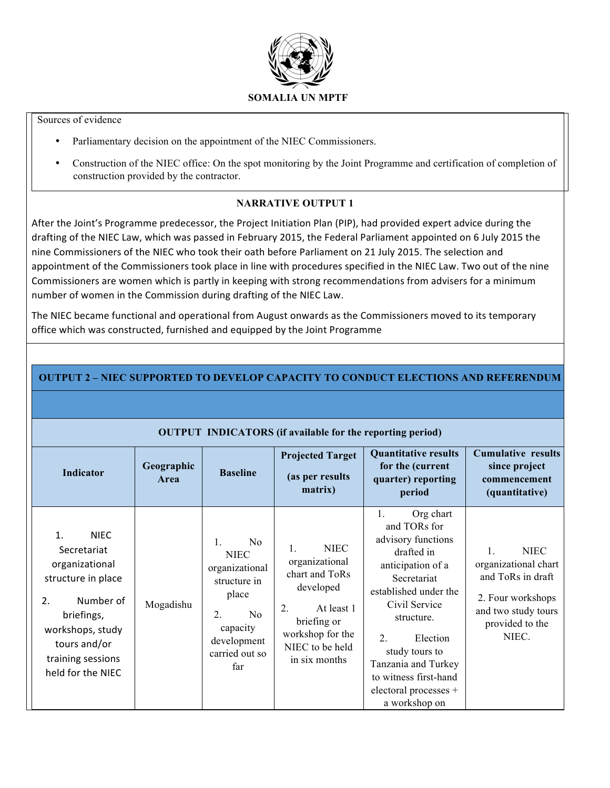

#### Sources of evidence

- Parliamentary decision on the appointment of the NIEC Commissioners.
- Construction of the NIEC office: On the spot monitoring by the Joint Programme and certification of completion of construction provided by the contractor.

## **NARRATIVE OUTPUT 1**

After the Joint's Programme predecessor, the Project Initiation Plan (PIP), had provided expert advice during the drafting of the NIEC Law, which was passed in February 2015, the Federal Parliament appointed on 6 July 2015 the nine Commissioners of the NIEC who took their oath before Parliament on 21 July 2015. The selection and appointment of the Commissioners took place in line with procedures specified in the NIEC Law. Two out of the nine Commissioners are women which is partly in keeping with strong recommendations from advisers for a minimum number of women in the Commission during drafting of the NIEC Law.

The NIEC became functional and operational from August onwards as the Commissioners moved to its temporary office which was constructed, furnished and equipped by the Joint Programme

|                                                                                                                                                                                         |                    |                                                                                                                                                                     | <b>OUTPUT INDICATORS</b> (if available for the reporting period)                                                                                                        |                                                                                                                                                                                                                                                                                                           |                                                                                                                                        |
|-----------------------------------------------------------------------------------------------------------------------------------------------------------------------------------------|--------------------|---------------------------------------------------------------------------------------------------------------------------------------------------------------------|-------------------------------------------------------------------------------------------------------------------------------------------------------------------------|-----------------------------------------------------------------------------------------------------------------------------------------------------------------------------------------------------------------------------------------------------------------------------------------------------------|----------------------------------------------------------------------------------------------------------------------------------------|
| <b>Indicator</b>                                                                                                                                                                        | Geographic<br>Area | <b>Baseline</b>                                                                                                                                                     | <b>Projected Target</b><br>(as per results)<br>matrix)                                                                                                                  | <b>Quantitative results</b><br>for the (current<br>quarter) reporting<br>period                                                                                                                                                                                                                           | <b>Cumulative results</b><br>since project<br>commencement<br>(quantitative)                                                           |
| <b>NIEC</b><br>1.<br>Secretariat<br>organizational<br>structure in place<br>Number of<br>2.<br>briefings,<br>workshops, study<br>tours and/or<br>training sessions<br>held for the NIEC | Mogadishu          | N <sub>0</sub><br>$\mathbf{1}$ .<br><b>NIEC</b><br>organizational<br>structure in<br>place<br>No<br>$2_{\cdot}$<br>capacity<br>development<br>carried out so<br>far | <b>NIEC</b><br>$\mathbf{1}$<br>organizational<br>chart and ToRs<br>developed<br>2.<br>At least 1<br>briefing or<br>workshop for the<br>NIEC to be held<br>in six months | Org chart<br>$\mathbf{1}$ .<br>and TORs for<br>advisory functions<br>drafted in<br>anticipation of a<br>Secretariat<br>established under the<br>Civil Service<br>structure.<br>2.<br>Election<br>study tours to<br>Tanzania and Turkey<br>to witness first-hand<br>electoral processes +<br>a workshop on | <b>NIEC</b><br>1.<br>organizational chart<br>and ToRs in draft<br>2. Four workshops<br>and two study tours<br>provided to the<br>NIEC. |

## **OUTPUT 2 – NIEC SUPPORTED TO DEVELOP CAPACITY TO CONDUCT ELECTIONS AND REFERENDUM**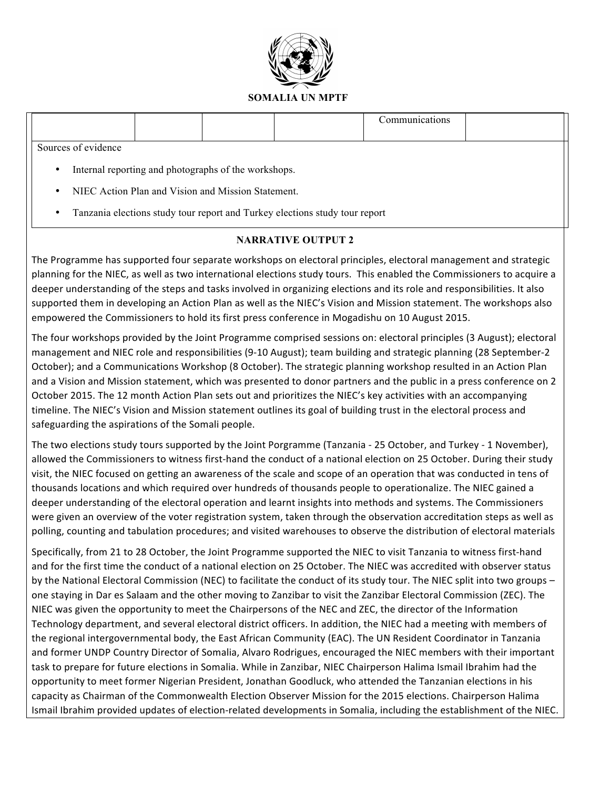

|                     |                                                      | Communications |  |
|---------------------|------------------------------------------------------|----------------|--|
| Sources of evidence |                                                      |                |  |
|                     | Internal reporting and photographs of the workshops. |                |  |

- NIEC Action Plan and Vision and Mission Statement.
- Tanzania elections study tour report and Turkey elections study tour report

## **NARRATIVE OUTPUT 2**

The Programme has supported four separate workshops on electoral principles, electoral management and strategic planning for the NIEC, as well as two international elections study tours. This enabled the Commissioners to acquire a deeper understanding of the steps and tasks involved in organizing elections and its role and responsibilities. It also supported them in developing an Action Plan as well as the NIEC's Vision and Mission statement. The workshops also empowered the Commissioners to hold its first press conference in Mogadishu on 10 August 2015.

The four workshops provided by the Joint Programme comprised sessions on: electoral principles (3 August); electoral management and NIEC role and responsibilities (9-10 August); team building and strategic planning (28 September-2 October); and a Communications Workshop (8 October). The strategic planning workshop resulted in an Action Plan and a Vision and Mission statement, which was presented to donor partners and the public in a press conference on 2 October 2015. The 12 month Action Plan sets out and prioritizes the NIEC's key activities with an accompanying timeline. The NIEC's Vision and Mission statement outlines its goal of building trust in the electoral process and safeguarding the aspirations of the Somali people.

The two elections study tours supported by the Joint Porgramme (Tanzania - 25 October, and Turkey - 1 November), allowed the Commissioners to witness first-hand the conduct of a national election on 25 October. During their study visit, the NIEC focused on getting an awareness of the scale and scope of an operation that was conducted in tens of thousands locations and which required over hundreds of thousands people to operationalize. The NIEC gained a deeper understanding of the electoral operation and learnt insights into methods and systems. The Commissioners were given an overview of the voter registration system, taken through the observation accreditation steps as well as polling, counting and tabulation procedures; and visited warehouses to observe the distribution of electoral materials

Specifically, from 21 to 28 October, the Joint Programme supported the NIEC to visit Tanzania to witness first-hand and for the first time the conduct of a national election on 25 October. The NIEC was accredited with observer status by the National Electoral Commission (NEC) to facilitate the conduct of its study tour. The NIEC split into two groups – one staying in Dar es Salaam and the other moving to Zanzibar to visit the Zanzibar Electoral Commission (ZEC). The NIEC was given the opportunity to meet the Chairpersons of the NEC and ZEC, the director of the Information Technology department, and several electoral district officers. In addition, the NIEC had a meeting with members of the regional intergovernmental body, the East African Community (EAC). The UN Resident Coordinator in Tanzania and former UNDP Country Director of Somalia, Alvaro Rodrigues, encouraged the NIEC members with their important task to prepare for future elections in Somalia. While in Zanzibar, NIEC Chairperson Halima Ismail Ibrahim had the opportunity to meet former Nigerian President, Jonathan Goodluck, who attended the Tanzanian elections in his capacity as Chairman of the Commonwealth Election Observer Mission for the 2015 elections. Chairperson Halima Ismail Ibrahim provided updates of election-related developments in Somalia, including the establishment of the NIEC.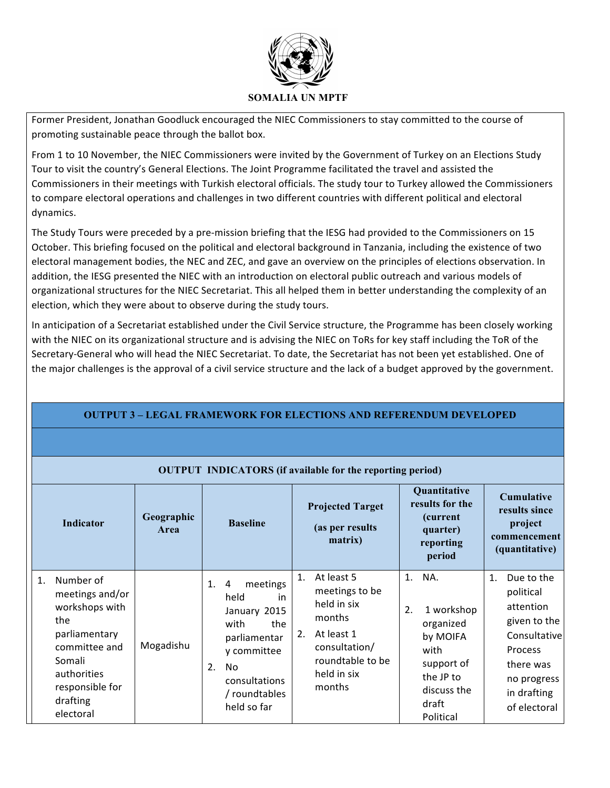

Former President, Jonathan Goodluck encouraged the NIEC Commissioners to stay committed to the course of promoting sustainable peace through the ballot box.

From 1 to 10 November, the NIEC Commissioners were invited by the Government of Turkey on an Elections Study Tour to visit the country's General Elections. The Joint Programme facilitated the travel and assisted the Commissioners in their meetings with Turkish electoral officials. The study tour to Turkey allowed the Commissioners to compare electoral operations and challenges in two different countries with different political and electoral dynamics.

The Study Tours were preceded by a pre-mission briefing that the IESG had provided to the Commissioners on 15 October. This briefing focused on the political and electoral background in Tanzania, including the existence of two electoral management bodies, the NEC and ZEC, and gave an overview on the principles of elections observation. In addition, the IESG presented the NIEC with an introduction on electoral public outreach and various models of organizational structures for the NIEC Secretariat. This all helped them in better understanding the complexity of an election, which they were about to observe during the study tours.

In anticipation of a Secretariat established under the Civil Service structure, the Programme has been closely working with the NIEC on its organizational structure and is advising the NIEC on ToRs for key staff including the ToR of the Secretary-General who will head the NIEC Secretariat. To date, the Secretariat has not been yet established. One of the major challenges is the approval of a civil service structure and the lack of a budget approved by the government.

# **OUTPUT 3 – LEGAL FRAMEWORK FOR ELECTIONS AND REFERENDUM DEVELOPED**

### **OUTPUT INDICATORS (if available for the reporting period)**

|    | <b>Indicator</b>                                                                                                                                             | Geographic<br>Area | <b>Baseline</b>                                                                                                                                              | <b>Projected Target</b><br>(as per results)<br>matrix)                                                                                        | Quantitative<br>results for the<br>(current)<br>quarter)<br>reporting<br>period                                                | <b>Cumulative</b><br>results since<br>project<br>commencement<br>(quantitative)                                                                              |
|----|--------------------------------------------------------------------------------------------------------------------------------------------------------------|--------------------|--------------------------------------------------------------------------------------------------------------------------------------------------------------|-----------------------------------------------------------------------------------------------------------------------------------------------|--------------------------------------------------------------------------------------------------------------------------------|--------------------------------------------------------------------------------------------------------------------------------------------------------------|
| 1. | Number of<br>meetings and/or<br>workshops with<br>the<br>parliamentary<br>committee and<br>Somali<br>authorities<br>responsible for<br>drafting<br>electoral | Mogadishu          | meetings<br>1.<br>4<br>held<br>in<br>January 2015<br>the<br>with<br>parliamentar<br>y committee<br>No<br>2.<br>consultations<br>/ roundtables<br>held so far | At least 5<br>1.<br>meetings to be<br>held in six<br>months<br>At least 1<br>2.<br>consultation/<br>roundtable to be<br>held in six<br>months | 1.<br>NA.<br>1 workshop<br>2.<br>organized<br>by MOIFA<br>with<br>support of<br>the JP to<br>discuss the<br>draft<br>Political | Due to the<br>$\mathbf{1}$ .<br>political<br>attention<br>given to the<br>Consultative<br>Process<br>there was<br>no progress<br>in drafting<br>of electoral |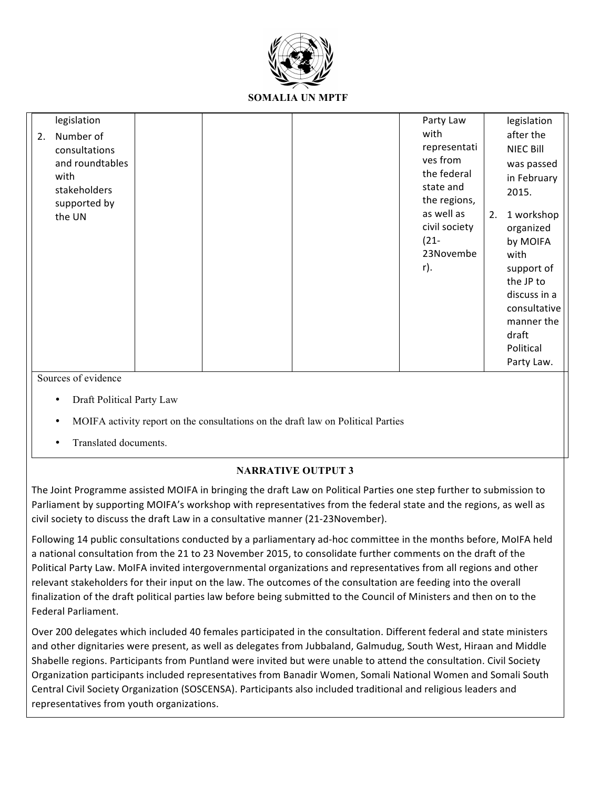

|    | legislation         |  | Party Law     |    | legislation      |
|----|---------------------|--|---------------|----|------------------|
| 2. | Number of           |  | with          |    | after the        |
|    | consultations       |  | representati  |    | <b>NIEC Bill</b> |
|    | and roundtables     |  | ves from      |    | was passed       |
|    | with                |  | the federal   |    | in February      |
|    | stakeholders        |  | state and     |    | 2015.            |
|    | supported by        |  | the regions,  |    |                  |
|    | the UN              |  | as well as    | 2. | 1 workshop       |
|    |                     |  | civil society |    | organized        |
|    |                     |  | $(21 -$       |    | by MOIFA         |
|    |                     |  | 23Novembe     |    | with             |
|    |                     |  | r).           |    | support of       |
|    |                     |  |               |    | the JP to        |
|    |                     |  |               |    | discuss in a     |
|    |                     |  |               |    | consultative     |
|    |                     |  |               |    | manner the       |
|    |                     |  |               |    | draft            |
|    |                     |  |               |    | Political        |
|    |                     |  |               |    | Party Law.       |
|    | Sources of evidence |  |               |    |                  |

- Draft Political Party Law
- MOIFA activity report on the consultations on the draft law on Political Parties
- Translated documents.

## **NARRATIVE OUTPUT 3**

The Joint Programme assisted MOIFA in bringing the draft Law on Political Parties one step further to submission to Parliament by supporting MOIFA's workshop with representatives from the federal state and the regions, as well as civil society to discuss the draft Law in a consultative manner (21-23November).

Following 14 public consultations conducted by a parliamentary ad-hoc committee in the months before, MoIFA held a national consultation from the 21 to 23 November 2015, to consolidate further comments on the draft of the Political Party Law. MoIFA invited intergovernmental organizations and representatives from all regions and other relevant stakeholders for their input on the law. The outcomes of the consultation are feeding into the overall finalization of the draft political parties law before being submitted to the Council of Ministers and then on to the Federal Parliament.

Over 200 delegates which included 40 females participated in the consultation. Different federal and state ministers and other dignitaries were present, as well as delegates from Jubbaland, Galmudug, South West, Hiraan and Middle Shabelle regions. Participants from Puntland were invited but were unable to attend the consultation. Civil Society Organization participants included representatives from Banadir Women, Somali National Women and Somali South Central Civil Society Organization (SOSCENSA). Participants also included traditional and religious leaders and representatives from youth organizations.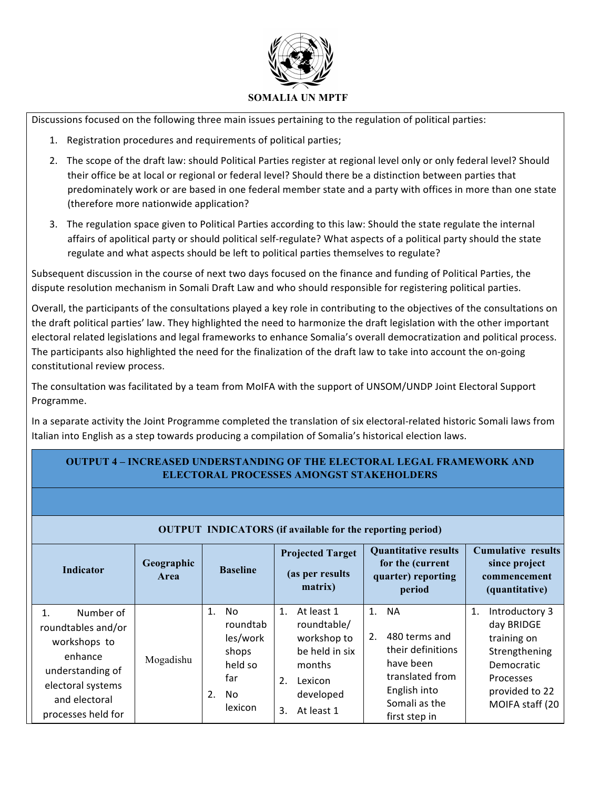

Discussions focused on the following three main issues pertaining to the regulation of political parties:

- 1. Registration procedures and requirements of political parties;
- 2. The scope of the draft law: should Political Parties register at regional level only or only federal level? Should their office be at local or regional or federal level? Should there be a distinction between parties that predominately work or are based in one federal member state and a party with offices in more than one state (therefore more nationwide application?
- 3. The regulation space given to Political Parties according to this law: Should the state regulate the internal affairs of apolitical party or should political self-regulate? What aspects of a political party should the state regulate and what aspects should be left to political parties themselves to regulate?

Subsequent discussion in the course of next two days focused on the finance and funding of Political Parties, the dispute resolution mechanism in Somali Draft Law and who should responsible for registering political parties.

Overall, the participants of the consultations played a key role in contributing to the objectives of the consultations on the draft political parties' law. They highlighted the need to harmonize the draft legislation with the other important electoral related legislations and legal frameworks to enhance Somalia's overall democratization and political process. The participants also highlighted the need for the finalization of the draft law to take into account the on-going constitutional review process.

The consultation was facilitated by a team from MoIFA with the support of UNSOM/UNDP Joint Electoral Support Programme.

In a separate activity the Joint Programme completed the translation of six electoral-related historic Somali laws from Italian into English as a step towards producing a compilation of Somalia's historical election laws.

## **OUTPUT 4 – INCREASED UNDERSTANDING OF THE ELECTORAL LEGAL FRAMEWORK AND ELECTORAL PROCESSES AMONGST STAKEHOLDERS**

| <b>OUTPUT INDICATORS</b> (if available for the reporting period)                                                                                 |                           |                                                                                     |                                                                                                                              |                                                                                                                                     |                                                                                                                                           |  |  |  |  |  |  |
|--------------------------------------------------------------------------------------------------------------------------------------------------|---------------------------|-------------------------------------------------------------------------------------|------------------------------------------------------------------------------------------------------------------------------|-------------------------------------------------------------------------------------------------------------------------------------|-------------------------------------------------------------------------------------------------------------------------------------------|--|--|--|--|--|--|
| <b>Indicator</b>                                                                                                                                 | Geographic<br><b>Area</b> | <b>Baseline</b>                                                                     | <b>Projected Target</b><br>(as per results)<br>matrix)                                                                       | <b>Quantitative results</b><br>for the (current<br>quarter) reporting<br>period                                                     | <b>Cumulative results</b><br>since project<br>commencement<br>(quantitative)                                                              |  |  |  |  |  |  |
| Number of<br>1.<br>roundtables and/or<br>workshops to<br>enhance<br>understanding of<br>electoral systems<br>and electoral<br>processes held for | Mogadishu                 | No.<br>1.<br>roundtab<br>les/work<br>shops<br>held so<br>far<br>2.<br>No<br>lexicon | At least 1<br>1.<br>roundtable/<br>workshop to<br>be held in six<br>months<br>2.<br>Lexicon<br>developed<br>At least 1<br>3. | 1. NA<br>480 terms and<br>2.<br>their definitions<br>have been<br>translated from<br>English into<br>Somali as the<br>first step in | Introductory 3<br>1.<br>day BRIDGE<br>training on<br>Strengthening<br>Democratic<br><b>Processes</b><br>provided to 22<br>MOIFA staff (20 |  |  |  |  |  |  |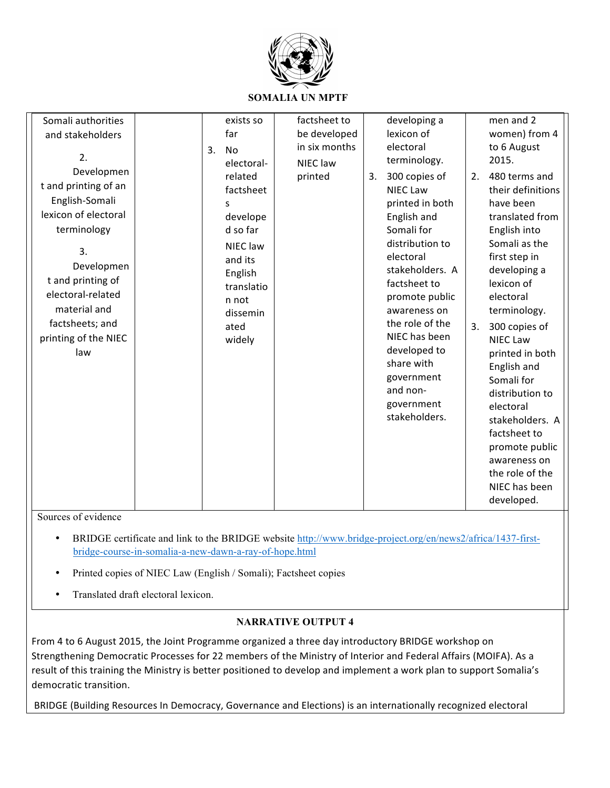

**SOMALIA UN MPTF**

| Somali authorities<br>and stakeholders<br>2.<br>Developmen<br>t and printing of an<br>English-Somali<br>lexicon of electoral<br>terminology<br>3.<br>Developmen<br>t and printing of<br>electoral-related | 3. | exists so<br>far<br><b>No</b><br>electoral-<br>related<br>factsheet<br>S<br>develope<br>d so far<br>NIEC law<br>and its<br>English<br>translatio | factsheet to<br>in six months<br>NIEC law<br>printed | be developed | 3. | developing a<br>lexicon of<br>electoral<br>terminology.<br>300 copies of<br><b>NIEC Law</b><br>printed in both<br>English and<br>Somali for<br>distribution to<br>electoral<br>stakeholders. A<br>factsheet to<br>promote public | 2. | men and 2<br>women) from 4<br>to 6 August<br>2015.<br>480 terms and<br>their definitions<br>have been<br>translated from<br>English into<br>Somali as the<br>first step in<br>developing a<br>lexicon of<br>electoral                   |
|-----------------------------------------------------------------------------------------------------------------------------------------------------------------------------------------------------------|----|--------------------------------------------------------------------------------------------------------------------------------------------------|------------------------------------------------------|--------------|----|----------------------------------------------------------------------------------------------------------------------------------------------------------------------------------------------------------------------------------|----|-----------------------------------------------------------------------------------------------------------------------------------------------------------------------------------------------------------------------------------------|
| material and                                                                                                                                                                                              |    | n not<br>dissemin                                                                                                                                |                                                      |              |    | awareness on                                                                                                                                                                                                                     |    | terminology.                                                                                                                                                                                                                            |
| factsheets; and<br>printing of the NIEC<br>law                                                                                                                                                            |    | ated<br>widely                                                                                                                                   |                                                      |              |    | the role of the<br>NIEC has been<br>developed to<br>share with<br>government<br>and non-<br>government<br>stakeholders.                                                                                                          | 3. | 300 copies of<br><b>NIEC Law</b><br>printed in both<br>English and<br>Somali for<br>distribution to<br>electoral<br>stakeholders. A<br>factsheet to<br>promote public<br>awareness on<br>the role of the<br>NIEC has been<br>developed. |

Sources of evidence

- BRIDGE certificate and link to the BRIDGE website http://www.bridge-project.org/en/news2/africa/1437-firstbridge-course-in-somalia-a-new-dawn-a-ray-of-hope.html
- Printed copies of NIEC Law (English / Somali); Factsheet copies
- Translated draft electoral lexicon.

## **NARRATIVE OUTPUT 4**

From 4 to 6 August 2015, the Joint Programme organized a three day introductory BRIDGE workshop on Strengthening Democratic Processes for 22 members of the Ministry of Interior and Federal Affairs (MOIFA). As a result of this training the Ministry is better positioned to develop and implement a work plan to support Somalia's democratic transition.

BRIDGE (Building Resources In Democracy, Governance and Elections) is an internationally recognized electoral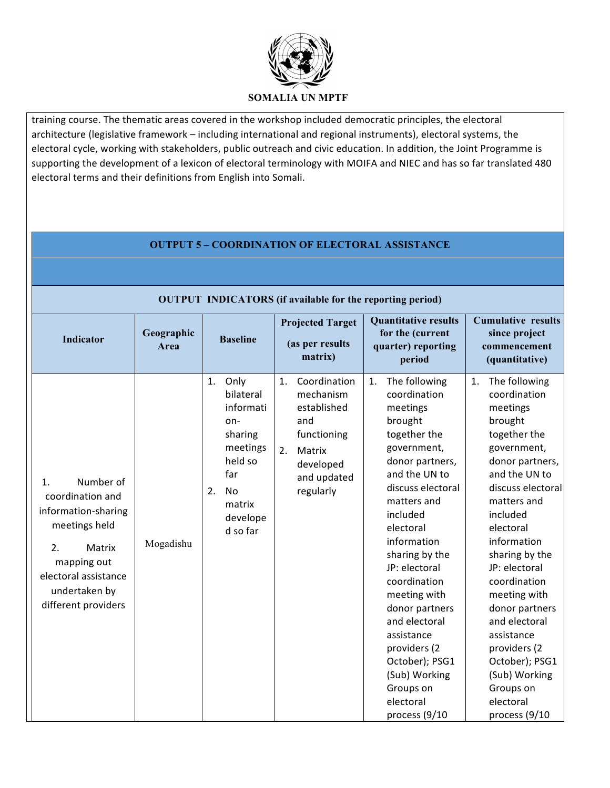

training course. The thematic areas covered in the workshop included democratic principles, the electoral architecture (legislative framework - including international and regional instruments), electoral systems, the electoral cycle, working with stakeholders, public outreach and civic education. In addition, the Joint Programme is supporting the development of a lexicon of electoral terminology with MOIFA and NIEC and has so far translated 480 electoral terms and their definitions from English into Somali.

# **OUTPUT 5 – COORDINATION OF ELECTORAL ASSISTANCE**

## **OUTPUT INDICATORS (if available for the reporting period)**

| Indicator                                                                                                                                                                  | Geographic<br>Area | <b>Baseline</b>                                                                                                                           | <b>Projected Target</b><br>(as per results<br>matrix)                                                                                     | <b>Quantitative results</b><br>for the (current<br>quarter) reporting<br>period                                                                                                                                                                                                                                                                                                                                             | <b>Cumulative results</b><br>since project<br>commencement<br>(quantitative)                                                                                                                                                                                                                                                                                                                                                |
|----------------------------------------------------------------------------------------------------------------------------------------------------------------------------|--------------------|-------------------------------------------------------------------------------------------------------------------------------------------|-------------------------------------------------------------------------------------------------------------------------------------------|-----------------------------------------------------------------------------------------------------------------------------------------------------------------------------------------------------------------------------------------------------------------------------------------------------------------------------------------------------------------------------------------------------------------------------|-----------------------------------------------------------------------------------------------------------------------------------------------------------------------------------------------------------------------------------------------------------------------------------------------------------------------------------------------------------------------------------------------------------------------------|
| Number of<br>1.<br>coordination and<br>information-sharing<br>meetings held<br>2.<br>Matrix<br>mapping out<br>electoral assistance<br>undertaken by<br>different providers | Mogadishu          | Only<br>1.<br>bilateral<br>informati<br>on-<br>sharing<br>meetings<br>held so<br>far<br>2.<br><b>No</b><br>matrix<br>develope<br>d so far | Coordination<br>$\mathbf{1}$ .<br>mechanism<br>established<br>and<br>functioning<br>2.<br>Matrix<br>developed<br>and updated<br>regularly | The following<br>1.<br>coordination<br>meetings<br>brought<br>together the<br>government,<br>donor partners,<br>and the UN to<br>discuss electoral<br>matters and<br>included<br>electoral<br>information<br>sharing by the<br>JP: electoral<br>coordination<br>meeting with<br>donor partners<br>and electoral<br>assistance<br>providers (2<br>October); PSG1<br>(Sub) Working<br>Groups on<br>electoral<br>process (9/10 | The following<br>1.<br>coordination<br>meetings<br>brought<br>together the<br>government,<br>donor partners,<br>and the UN to<br>discuss electoral<br>matters and<br>included<br>electoral<br>information<br>sharing by the<br>JP: electoral<br>coordination<br>meeting with<br>donor partners<br>and electoral<br>assistance<br>providers (2<br>October); PSG1<br>(Sub) Working<br>Groups on<br>electoral<br>process (9/10 |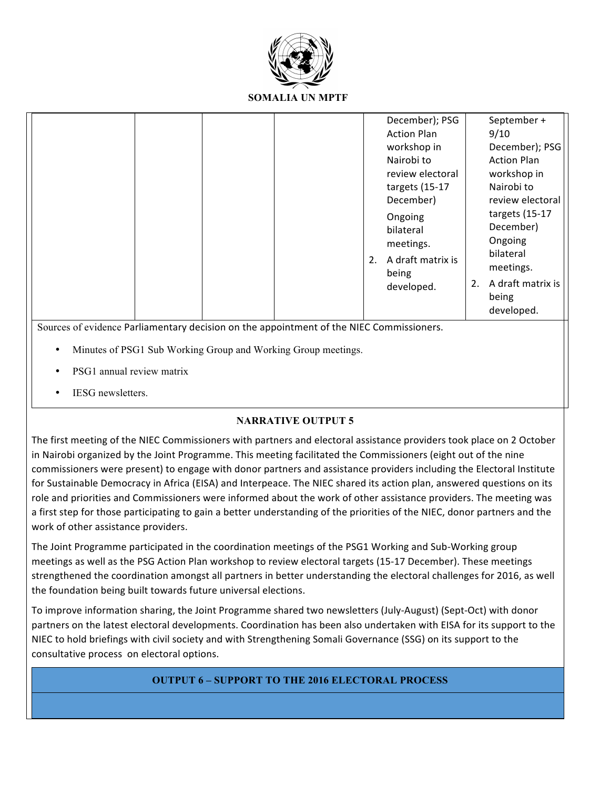

**SOMALIA UN MPTF**

|                                                                                                                                                           | 2. | December); PSG<br><b>Action Plan</b><br>workshop in<br>Nairobi to<br>review electoral<br>targets (15-17<br>December)<br>Ongoing<br>bilateral<br>meetings.<br>A draft matrix is<br>being<br>developed. | 2. | September +<br>9/10<br>December); PSG<br><b>Action Plan</b><br>workshop in<br>Nairobi to<br>review electoral<br>targets (15-17<br>December)<br>Ongoing<br>bilateral<br>meetings.<br>A draft matrix is<br>being<br>developed. |
|-----------------------------------------------------------------------------------------------------------------------------------------------------------|----|-------------------------------------------------------------------------------------------------------------------------------------------------------------------------------------------------------|----|------------------------------------------------------------------------------------------------------------------------------------------------------------------------------------------------------------------------------|
| Sources of evidence Parliamentary decision on the appointment of the NIEC Commissioners.<br>Minutes of PSG1 Sub Working Group and Working Group meetings. |    |                                                                                                                                                                                                       |    |                                                                                                                                                                                                                              |
|                                                                                                                                                           |    |                                                                                                                                                                                                       |    |                                                                                                                                                                                                                              |

- PSG1 annual review matrix
- IESG newsletters.

## **NARRATIVE OUTPUT 5**

The first meeting of the NIEC Commissioners with partners and electoral assistance providers took place on 2 October in Nairobi organized by the Joint Programme. This meeting facilitated the Commissioners (eight out of the nine commissioners were present) to engage with donor partners and assistance providers including the Electoral Institute for Sustainable Democracy in Africa (EISA) and Interpeace. The NIEC shared its action plan, answered questions on its role and priorities and Commissioners were informed about the work of other assistance providers. The meeting was a first step for those participating to gain a better understanding of the priorities of the NIEC, donor partners and the work of other assistance providers.

The Joint Programme participated in the coordination meetings of the PSG1 Working and Sub-Working group meetings as well as the PSG Action Plan workshop to review electoral targets (15-17 December). These meetings strengthened the coordination amongst all partners in better understanding the electoral challenges for 2016, as well the foundation being built towards future universal elections.

To improve information sharing, the Joint Programme shared two newsletters (July-August) (Sept-Oct) with donor partners on the latest electoral developments. Coordination has been also undertaken with EISA for its support to the NIEC to hold briefings with civil society and with Strengthening Somali Governance (SSG) on its support to the consultative process on electoral options.

## **OUTPUT 6 – SUPPORT TO THE 2016 ELECTORAL PROCESS**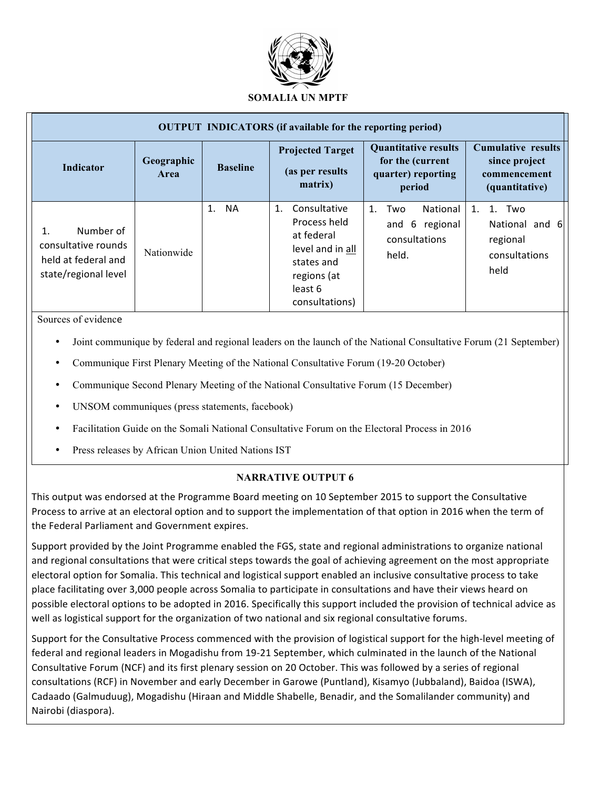![](_page_11_Picture_0.jpeg)

|                                                                                 |                    |                 | <b>OUTPUT INDICATORS</b> (if available for the reporting period)                                                               |                                                                                 |                                                                              |
|---------------------------------------------------------------------------------|--------------------|-----------------|--------------------------------------------------------------------------------------------------------------------------------|---------------------------------------------------------------------------------|------------------------------------------------------------------------------|
| Indicator                                                                       | Geographic<br>Area | <b>Baseline</b> | <b>Projected Target</b><br>(as per results)<br>matrix)                                                                         | <b>Quantitative results</b><br>for the (current<br>quarter) reporting<br>period | <b>Cumulative results</b><br>since project<br>commencement<br>(quantitative) |
| Number of<br>consultative rounds<br>held at federal and<br>state/regional level | Nationwide         | <b>NA</b><br>1. | Consultative<br>1.<br>Process held<br>at federal<br>level and in all<br>states and<br>regions (at<br>least 6<br>consultations) | National<br>Two<br>$1_{-}$<br>6 regional<br>and<br>consultations<br>held.       | 1. Two<br>1.<br>National and 6<br>regional<br>consultations<br>held          |

Sources of evidence

- Joint communique by federal and regional leaders on the launch of the National Consultative Forum (21 September)
- Communique First Plenary Meeting of the National Consultative Forum (19-20 October)
- Communique Second Plenary Meeting of the National Consultative Forum (15 December)
- UNSOM communiques (press statements, facebook)
- Facilitation Guide on the Somali National Consultative Forum on the Electoral Process in 2016
- Press releases by African Union United Nations IST

## **NARRATIVE OUTPUT 6**

This output was endorsed at the Programme Board meeting on 10 September 2015 to support the Consultative Process to arrive at an electoral option and to support the implementation of that option in 2016 when the term of the Federal Parliament and Government expires.

Support provided by the Joint Programme enabled the FGS, state and regional administrations to organize national and regional consultations that were critical steps towards the goal of achieving agreement on the most appropriate electoral option for Somalia. This technical and logistical support enabled an inclusive consultative process to take place facilitating over 3,000 people across Somalia to participate in consultations and have their views heard on possible electoral options to be adopted in 2016. Specifically this support included the provision of technical advice as well as logistical support for the organization of two national and six regional consultative forums.

Support for the Consultative Process commenced with the provision of logistical support for the high-level meeting of federal and regional leaders in Mogadishu from 19-21 September, which culminated in the launch of the National Consultative Forum (NCF) and its first plenary session on 20 October. This was followed by a series of regional consultations (RCF) in November and early December in Garowe (Puntland), Kisamyo (Jubbaland), Baidoa (ISWA), Cadaado (Galmuduug), Mogadishu (Hiraan and Middle Shabelle, Benadir, and the Somalilander community) and Nairobi (diaspora).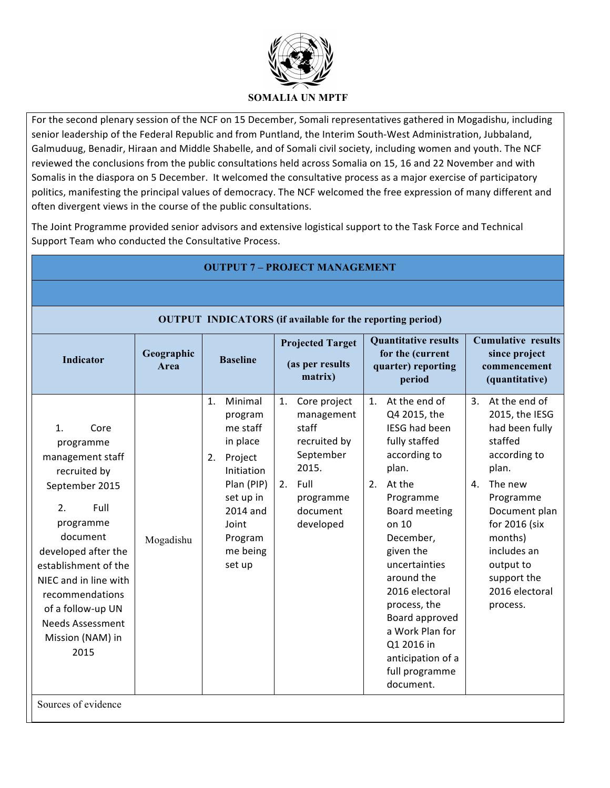![](_page_12_Picture_0.jpeg)

For the second plenary session of the NCF on 15 December, Somali representatives gathered in Mogadishu, including senior leadership of the Federal Republic and from Puntland, the Interim South-West Administration, Jubbaland, Galmuduug, Benadir, Hiraan and Middle Shabelle, and of Somali civil society, including women and youth. The NCF reviewed the conclusions from the public consultations held across Somalia on 15, 16 and 22 November and with Somalis in the diaspora on 5 December. It welcomed the consultative process as a major exercise of participatory politics, manifesting the principal values of democracy. The NCF welcomed the free expression of many different and often divergent views in the course of the public consultations.

The Joint Programme provided senior advisors and extensive logistical support to the Task Force and Technical Support Team who conducted the Consultative Process.

| <b>Quantitative results</b><br><b>Projected Target</b><br>for the (current<br>Geographic<br><b>Indicator</b><br><b>Baseline</b><br>(as per results<br>quarter) reporting<br>Area<br>matrix)<br>period<br>At the end of<br>Minimal<br>$\mathbf{1}$ .<br>Core project<br>1.<br>1.                                                                                                                                                                                                                                                                                                                                                                                                                                                                                                                   |                                                                                                                                                                                                                                                                                                                                                                                               |                                                                  |  |  |  |  |  |  |  |  |  |  |
|---------------------------------------------------------------------------------------------------------------------------------------------------------------------------------------------------------------------------------------------------------------------------------------------------------------------------------------------------------------------------------------------------------------------------------------------------------------------------------------------------------------------------------------------------------------------------------------------------------------------------------------------------------------------------------------------------------------------------------------------------------------------------------------------------|-----------------------------------------------------------------------------------------------------------------------------------------------------------------------------------------------------------------------------------------------------------------------------------------------------------------------------------------------------------------------------------------------|------------------------------------------------------------------|--|--|--|--|--|--|--|--|--|--|
|                                                                                                                                                                                                                                                                                                                                                                                                                                                                                                                                                                                                                                                                                                                                                                                                   |                                                                                                                                                                                                                                                                                                                                                                                               |                                                                  |  |  |  |  |  |  |  |  |  |  |
|                                                                                                                                                                                                                                                                                                                                                                                                                                                                                                                                                                                                                                                                                                                                                                                                   |                                                                                                                                                                                                                                                                                                                                                                                               | <b>OUTPUT INDICATORS (if available for the reporting period)</b> |  |  |  |  |  |  |  |  |  |  |
|                                                                                                                                                                                                                                                                                                                                                                                                                                                                                                                                                                                                                                                                                                                                                                                                   | <b>Cumulative results</b><br>since project<br>commencement<br>(quantitative)                                                                                                                                                                                                                                                                                                                  |                                                                  |  |  |  |  |  |  |  |  |  |  |
| Q4 2015, the<br>management<br>program<br>staff<br>me staff<br>1.<br>Core<br>fully staffed<br>in place<br>recruited by<br>programme<br>September<br>according to<br>management staff<br>2. Project<br>2015.<br>plan.<br>Initiation<br>recruited by<br>Plan (PIP)<br>2. Full<br>2.<br>At the<br>September 2015<br>set up in<br>Programme<br>programme<br>2.<br>Full<br>2014 and<br>document<br>programme<br>developed<br>on 10<br>Joint<br>document<br>December,<br>Program<br>Mogadishu<br>given the<br>developed after the<br>me being<br>uncertainties<br>set up<br>establishment of the<br>around the<br>NIEC and in line with<br>recommendations<br>process, the<br>of a follow-up UN<br><b>Needs Assessment</b><br>Mission (NAM) in<br>Q1 2016 in<br>2015<br>document.<br>Sources of evidence | At the end of<br>3.<br>2015, the IESG<br><b>IESG had been</b><br>had been fully<br>staffed<br>according to<br>plan.<br>The new<br>4.<br>Programme<br><b>Board meeting</b><br>Document plan<br>for 2016 (six<br>months)<br>includes an<br>output to<br>support the<br>2016 electoral<br>2016 electoral<br>process.<br>Board approved<br>a Work Plan for<br>anticipation of a<br>full programme |                                                                  |  |  |  |  |  |  |  |  |  |  |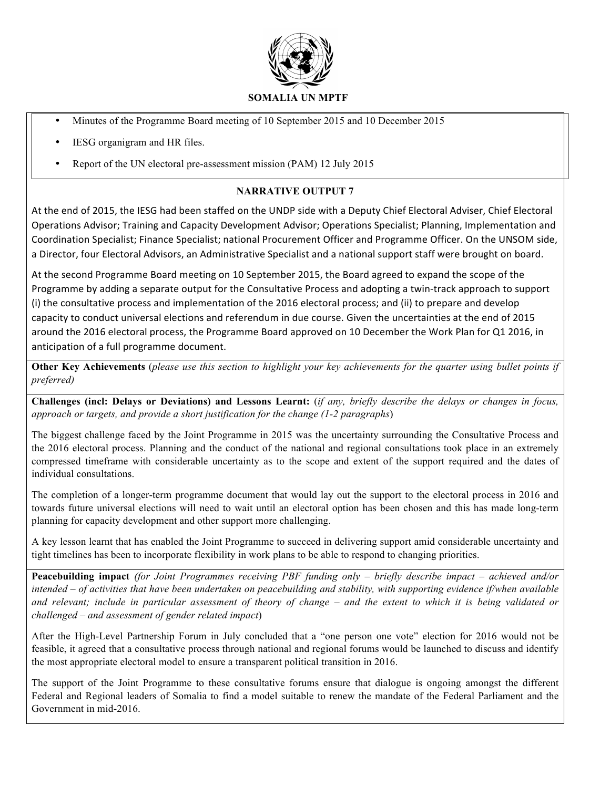![](_page_13_Picture_0.jpeg)

- Minutes of the Programme Board meeting of 10 September 2015 and 10 December 2015
- IESG organigram and HR files.
- Report of the UN electoral pre-assessment mission (PAM) 12 July 2015

## **NARRATIVE OUTPUT 7**

At the end of 2015, the IESG had been staffed on the UNDP side with a Deputy Chief Electoral Adviser, Chief Electoral Operations Advisor; Training and Capacity Development Advisor; Operations Specialist; Planning, Implementation and Coordination Specialist; Finance Specialist; national Procurement Officer and Programme Officer. On the UNSOM side, a Director, four Electoral Advisors, an Administrative Specialist and a national support staff were brought on board.

At the second Programme Board meeting on 10 September 2015, the Board agreed to expand the scope of the Programme by adding a separate output for the Consultative Process and adopting a twin-track approach to support (i) the consultative process and implementation of the 2016 electoral process; and (ii) to prepare and develop capacity to conduct universal elections and referendum in due course. Given the uncertainties at the end of 2015 around the 2016 electoral process, the Programme Board approved on 10 December the Work Plan for Q1 2016, in anticipation of a full programme document.

**Other Key Achievements** (*please use this section to highlight your key achievements for the quarter using bullet points if preferred)* 

**Challenges (incl: Delays or Deviations) and Lessons Learnt:** (*if any, briefly describe the delays or changes in focus, approach or targets, and provide a short justification for the change (1-2 paragraphs*)

The biggest challenge faced by the Joint Programme in 2015 was the uncertainty surrounding the Consultative Process and the 2016 electoral process. Planning and the conduct of the national and regional consultations took place in an extremely compressed timeframe with considerable uncertainty as to the scope and extent of the support required and the dates of individual consultations.

The completion of a longer-term programme document that would lay out the support to the electoral process in 2016 and towards future universal elections will need to wait until an electoral option has been chosen and this has made long-term planning for capacity development and other support more challenging.

A key lesson learnt that has enabled the Joint Programme to succeed in delivering support amid considerable uncertainty and tight timelines has been to incorporate flexibility in work plans to be able to respond to changing priorities.

**Peacebuilding impact** *(for Joint Programmes receiving PBF funding only – briefly describe impact – achieved and/or intended – of activities that have been undertaken on peacebuilding and stability, with supporting evidence if/when available and relevant; include in particular assessment of theory of change – and the extent to which it is being validated or challenged – and assessment of gender related impact*)

After the High-Level Partnership Forum in July concluded that a "one person one vote" election for 2016 would not be feasible, it agreed that a consultative process through national and regional forums would be launched to discuss and identify the most appropriate electoral model to ensure a transparent political transition in 2016.

The support of the Joint Programme to these consultative forums ensure that dialogue is ongoing amongst the different Federal and Regional leaders of Somalia to find a model suitable to renew the mandate of the Federal Parliament and the Government in mid-2016.